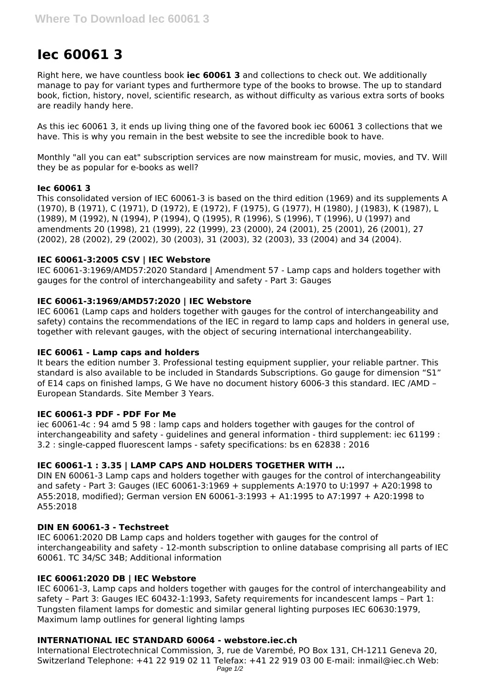# **Iec 60061 3**

Right here, we have countless book **iec 60061 3** and collections to check out. We additionally manage to pay for variant types and furthermore type of the books to browse. The up to standard book, fiction, history, novel, scientific research, as without difficulty as various extra sorts of books are readily handy here.

As this iec 60061 3, it ends up living thing one of the favored book iec 60061 3 collections that we have. This is why you remain in the best website to see the incredible book to have.

Monthly "all you can eat" subscription services are now mainstream for music, movies, and TV. Will they be as popular for e-books as well?

# **Iec 60061 3**

This consolidated version of IEC 60061-3 is based on the third edition (1969) and its supplements A (1970), B (1971), C (1971), D (1972), E (1972), F (1975), G (1977), H (1980), J (1983), K (1987), L (1989), M (1992), N (1994), P (1994), Q (1995), R (1996), S (1996), T (1996), U (1997) and amendments 20 (1998), 21 (1999), 22 (1999), 23 (2000), 24 (2001), 25 (2001), 26 (2001), 27 (2002), 28 (2002), 29 (2002), 30 (2003), 31 (2003), 32 (2003), 33 (2004) and 34 (2004).

# **IEC 60061-3:2005 CSV | IEC Webstore**

IEC 60061-3:1969/AMD57:2020 Standard | Amendment 57 - Lamp caps and holders together with gauges for the control of interchangeability and safety - Part 3: Gauges

# **IEC 60061-3:1969/AMD57:2020 | IEC Webstore**

IEC 60061 (Lamp caps and holders together with gauges for the control of interchangeability and safety) contains the recommendations of the IEC in regard to lamp caps and holders in general use, together with relevant gauges, with the object of securing international interchangeability.

# **IEC 60061 - Lamp caps and holders**

It bears the edition number 3. Professional testing equipment supplier, your reliable partner. This standard is also available to be included in Standards Subscriptions. Go gauge for dimension "S1" of E14 caps on finished lamps, G We have no document history 6006-3 this standard. IEC /AMD – European Standards. Site Member 3 Years.

# **IEC 60061-3 PDF - PDF For Me**

iec 60061-4c : 94 amd 5 98 : lamp caps and holders together with gauges for the control of interchangeability and safety - guidelines and general information - third supplement: iec 61199 : 3.2 : single-capped fluorescent lamps - safety specifications: bs en 62838 : 2016

# **IEC 60061-1 : 3.35 | LAMP CAPS AND HOLDERS TOGETHER WITH ...**

DIN EN 60061-3 Lamp caps and holders together with gauges for the control of interchangeability and safety - Part 3: Gauges (IEC 60061-3:1969 + supplements A:1970 to U:1997 + A20:1998 to A55:2018, modified); German version EN 60061-3:1993 + A1:1995 to A7:1997 + A20:1998 to A55:2018

# **DIN EN 60061-3 - Techstreet**

IEC 60061:2020 DB Lamp caps and holders together with gauges for the control of interchangeability and safety - 12-month subscription to online database comprising all parts of IEC 60061. TC 34/SC 34B; Additional information

# **IEC 60061:2020 DB | IEC Webstore**

IEC 60061-3, Lamp caps and holders together with gauges for the control of interchangeability and safety – Part 3: Gauges IEC 60432-1:1993, Safety requirements for incandescent lamps – Part 1: Tungsten filament lamps for domestic and similar general lighting purposes IEC 60630:1979, Maximum lamp outlines for general lighting lamps

# **INTERNATIONAL IEC STANDARD 60064 - webstore.iec.ch**

International Electrotechnical Commission, 3, rue de Varembé, PO Box 131, CH-1211 Geneva 20, Switzerland Telephone: +41 22 919 02 11 Telefax: +41 22 919 03 00 E-mail: inmail@iec.ch Web: Page  $1/2$